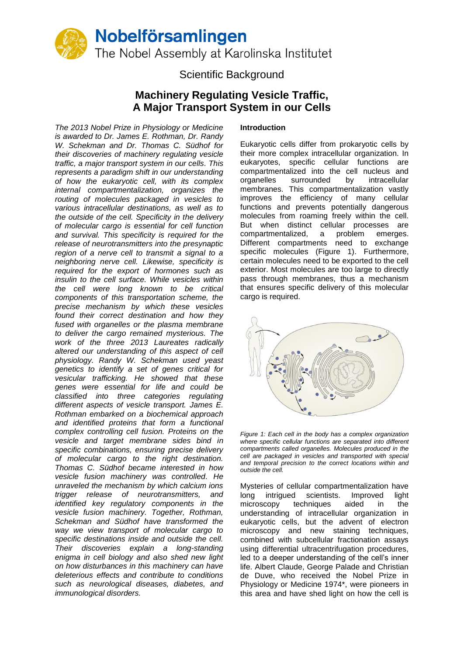

# Scientific Background

# **Machinery Regulating Vesicle Traffic, A Major Transport System in our Cells**

*The 2013 Nobel Prize in Physiology or Medicine is awarded to Dr. James E. Rothman, Dr. Randy W. Schekman and Dr. Thomas C. Südhof for their discoveries of machinery regulating vesicle traffic, a major transport system in our cells. This represents a paradigm shift in our understanding of how the eukaryotic cell, with its complex internal compartmentalization, organizes the routing of molecules packaged in vesicles to various intracellular destinations, as well as to the outside of the cell. Specificity in the delivery of molecular cargo is essential for cell function and survival. This specificity is required for the release of neurotransmitters into the presynaptic region of a nerve cell to transmit a signal to a neighboring nerve cell. Likewise, specificity is required for the export of hormones such as insulin to the cell surface. While vesicles within the cell were long known to be critical components of this transportation scheme, the precise mechanism by which these vesicles found their correct destination and how they fused with organelles or the plasma membrane to deliver the cargo remained mysterious. The work of the three 2013 Laureates radically altered our understanding of this aspect of cell physiology. Randy W. Schekman used yeast genetics to identify a set of genes critical for vesicular trafficking. He showed that these genes were essential for life and could be classified into three categories regulating different aspects of vesicle transport. James E. Rothman embarked on a biochemical approach and identified proteins that form a functional complex controlling cell fusion. Proteins on the vesicle and target membrane sides bind in specific combinations, ensuring precise delivery of molecular cargo to the right destination. Thomas C. Südhof became interested in how vesicle fusion machinery was controlled. He unraveled the mechanism by which calcium ions trigger release of neurotransmitters, and identified key regulatory components in the vesicle fusion machinery. Together, Rothman, Schekman and Südhof have transformed the way we view transport of molecular cargo to specific destinations inside and outside the cell. Their discoveries explain a long-standing enigma in cell biology and also shed new light on how disturbances in this machinery can have deleterious effects and contribute to conditions such as neurological diseases, diabetes, and immunological disorders.*

### **Introduction**

Eukaryotic cells differ from prokaryotic cells by their more complex intracellular organization. In eukaryotes, specific cellular functions are compartmentalized into the cell nucleus and organelles surrounded by intracellular membranes. This compartmentalization vastly improves the efficiency of many cellular functions and prevents potentially dangerous molecules from roaming freely within the cell. But when distinct cellular processes are compartmentalized, a problem emerges. Different compartments need to exchange specific molecules (Figure 1). Furthermore, certain molecules need to be exported to the cell exterior. Most molecules are too large to directly pass through membranes, thus a mechanism that ensures specific delivery of this molecular cargo is required.



*Figure 1: Each cell in the body has a complex organization where specific cellular functions are separated into different compartments called organelles. Molecules produced in the cell are packaged in vesicles and transported with special and temporal precision to the correct locations within and outside the cell.*

Mysteries of cellular compartmentalization have long intrigued scientists. Improved light microscopy techniques aided in the understanding of intracellular organization in eukaryotic cells, but the advent of electron microscopy and new staining techniques, combined with subcellular fractionation assays using differential ultracentrifugation procedures, led to a deeper understanding of the cell's inner life. Albert Claude, George Palade and Christian de Duve, who received the Nobel Prize in Physiology or Medicine 1974\*, were pioneers in this area and have shed light on how the cell is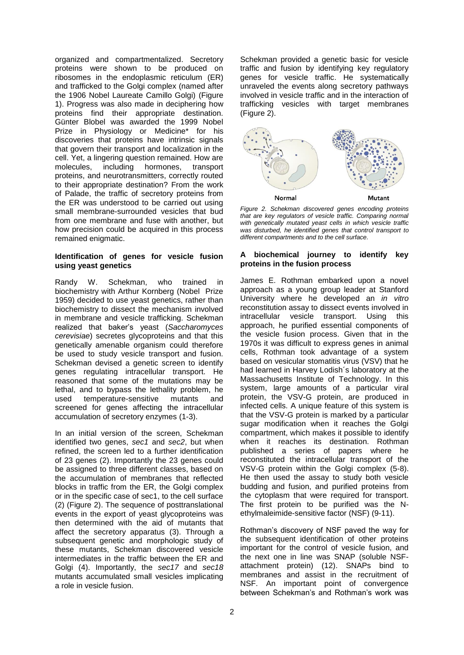organized and compartmentalized. Secretory proteins were shown to be produced on ribosomes in the endoplasmic reticulum (ER) and trafficked to the Golgi complex (named after the 1906 Nobel Laureate Camillo Golgi) (Figure 1). Progress was also made in deciphering how proteins find their appropriate destination. Günter Blobel was awarded the 1999 Nobel Prize in Physiology or Medicine\* for his discoveries that proteins have intrinsic signals that govern their transport and localization in the cell. Yet, a lingering question remained. How are molecules, including hormones, transport molecules, including hormones, transport proteins, and neurotransmitters, correctly routed to their appropriate destination? From the work of Palade, the traffic of secretory proteins from the ER was understood to be carried out using small membrane-surrounded vesicles that bud from one membrane and fuse with another, but how precision could be acquired in this process remained enigmatic.

#### **Identification of genes for vesicle fusion using yeast genetics**

Randy W. Schekman, who trained in biochemistry with Arthur Kornberg (Nobel Prize 1959) decided to use yeast genetics, rather than biochemistry to dissect the mechanism involved in membrane and vesicle trafficking. Schekman realized that baker's yeast (*Saccharomyces cerevisiae*) secretes glycoproteins and that this genetically amenable organism could therefore be used to study vesicle transport and fusion. Schekman devised a genetic screen to identify genes regulating intracellular transport. He reasoned that some of the mutations may be lethal, and to bypass the lethality problem, he used temperature-sensitive mutants and screened for genes affecting the intracellular accumulation of secretory enzymes [\(1-3\)](#page-4-0).

In an initial version of the screen, Schekman identified two genes, *sec1* and *sec2*, but when refined, the screen led to a further identification of 23 genes [\(2\)](#page-4-1). Importantly the 23 genes could be assigned to three different classes, based on the accumulation of membranes that reflected blocks in traffic from the ER, the Golgi complex or in the specific case of sec1, to the cell surface [\(2\)](#page-4-1) (Figure 2). The sequence of posttranslational events in the export of yeast glycoproteins was then determined with the aid of mutants that affect the secretory apparatus [\(3\)](#page-4-2). Through a subsequent genetic and morphologic study of these mutants, Schekman discovered vesicle intermediates in the traffic between the ER and Golgi [\(4\)](#page-4-3). Importantly, the *sec17* and *sec18* mutants accumulated small vesicles implicating a role in vesicle fusion.

Schekman provided a genetic basic for vesicle traffic and fusion by identifying key regulatory genes for vesicle traffic. He systematically unraveled the events along secretory pathways involved in vesicle traffic and in the interaction of trafficking vesicles with target membranes (Figure 2).



*Figure 2. Schekman discovered genes encoding proteins that are key regulators of vesicle traffic. Comparing normal with genetically mutated yeast cells in which vesicle traffic was disturbed, he identified genes that control transport to different compartments and to the cell surface.*

### **A biochemical journey to identify key proteins in the fusion process**

James E. Rothman embarked upon a novel approach as a young group leader at Stanford University where he developed an *in vitro* reconstitution assay to dissect events involved in intracellular vesicle transport. Using this approach, he purified essential components of the vesicle fusion process. Given that in the 1970s it was difficult to express genes in animal cells, Rothman took advantage of a system based on vesicular stomatitis virus (VSV) that he had learned in Harvey Lodish´s laboratory at the Massachusetts Institute of Technology. In this system, large amounts of a particular viral protein, the VSV-G protein, are produced in infected cells. A unique feature of this system is that the VSV-G protein is marked by a particular sugar modification when it reaches the Golgi compartment, which makes it possible to identify when it reaches its destination. Rothman published a series of papers where he reconstituted the intracellular transport of the VSV-G protein within the Golgi complex [\(5-8\)](#page-4-4). He then used the assay to study both vesicle budding and fusion, and purified proteins from the cytoplasm that were required for transport. The first protein to be purified was the Nethylmaleimide-sensitive factor (NSF) [\(9-11\)](#page-5-0).

Rothman's discovery of NSF paved the way for the subsequent identification of other proteins important for the control of vesicle fusion, and the next one in line was SNAP (soluble NSFattachment protein) [\(12\)](#page-5-1). SNAPs bind to membranes and assist in the recruitment of NSF. An important point of convergence between Schekman's and Rothman's work was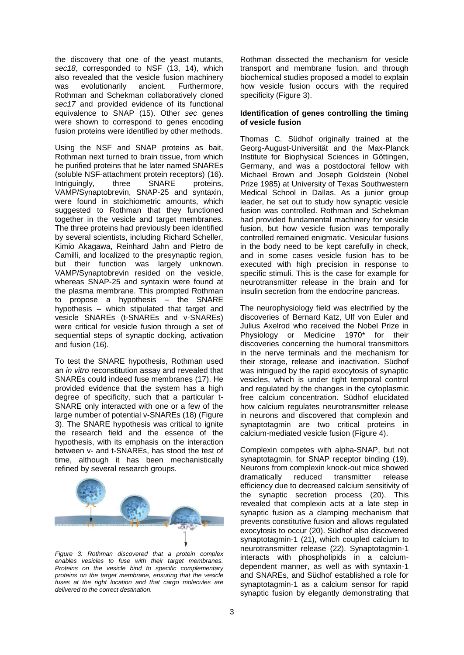the discovery that one of the yeast mutants, sec<sub>18</sub>, corresponded to NSF [\(13,](#page-5-2) [14\)](#page-5-3), which also revealed that the vesicle fusion machinery was evolutionarily ancient. Furthermore, Rothman and Schekman collaboratively cloned *sec17* and provided evidence of its functional equivalence to SNAP [\(15\)](#page-5-4). Other *sec* genes were shown to correspond to genes encoding fusion proteins were identified by other methods.

Using the NSF and SNAP proteins as bait, Rothman next turned to brain tissue, from which he purified proteins that he later named SNAREs (soluble NSF-attachment protein receptors) [\(16\)](#page-5-5). Intriguingly, three SNARE proteins, VAMP/Synaptobrevin, SNAP-25 and syntaxin, were found in stoichiometric amounts, which suggested to Rothman that they functioned together in the vesicle and target membranes. The three proteins had previously been identified by several scientists, including Richard Scheller, Kimio Akagawa, Reinhard Jahn and Pietro de Camilli, and localized to the presynaptic region, but their function was largely unknown. VAMP/Synaptobrevin resided on the vesicle, whereas SNAP-25 and syntaxin were found at the plasma membrane. This prompted Rothman to propose a hypothesis – the SNARE hypothesis – which stipulated that target and vesicle SNAREs (t-SNAREs and v-SNAREs) were critical for vesicle fusion through a set of sequential steps of synaptic docking, activation and fusion [\(16\)](#page-5-5).

To test the SNARE hypothesis, Rothman used an *in vitro* reconstitution assay and revealed that SNAREs could indeed fuse membranes [\(17\)](#page-5-6). He provided evidence that the system has a high degree of specificity, such that a particular t-SNARE only interacted with one or a few of the large number of potential v-SNAREs [\(18\)](#page-5-7) (Figure 3). The SNARE hypothesis was critical to ignite the research field and the essence of the hypothesis, with its emphasis on the interaction between v- and t-SNAREs, has stood the test of time, although it has been mechanistically refined by several research groups.



*Figure 3: Rothman discovered that a protein complex enables vesicles to fuse with their target membranes. Proteins on the vesicle bind to specific complementary proteins on the target membrane, ensuring that the vesicle fuses at the right location and that cargo molecules are delivered to the correct destination.*

Rothman dissected the mechanism for vesicle transport and membrane fusion, and through biochemical studies proposed a model to explain how vesicle fusion occurs with the required specificity (Figure 3).

### **Identification of genes controlling the timing of vesicle fusion**

Thomas C. Südhof originally trained at the Georg-August-Universität and the Max-Planck Institute for Biophysical Sciences in Göttingen, Germany, and was a postdoctoral fellow with Michael Brown and Joseph Goldstein (Nobel Prize 1985) at University of Texas Southwestern Medical School in Dallas. As a junior group leader, he set out to study how synaptic vesicle fusion was controlled. Rothman and Schekman had provided fundamental machinery for vesicle fusion, but how vesicle fusion was temporally controlled remained enigmatic. Vesicular fusions in the body need to be kept carefully in check, and in some cases vesicle fusion has to be executed with high precision in response to specific stimuli. This is the case for example for neurotransmitter release in the brain and for insulin secretion from the endocrine pancreas.

The neurophysiology field was electrified by the discoveries of Bernard Katz, Ulf von Euler and Julius Axelrod who received the Nobel Prize in Physiology or Medicine 1970\* for their discoveries concerning the humoral transmittors in the nerve terminals and the mechanism for their storage, release and inactivation. Südhof was intrigued by the rapid exocytosis of synaptic vesicles, which is under tight temporal control and regulated by the changes in the cytoplasmic free calcium concentration. Südhof elucidated how calcium regulates neurotransmitter release in neurons and discovered that complexin and synaptotagmin are two critical proteins in calcium-mediated vesicle fusion (Figure 4).

Complexin competes with alpha-SNAP, but not synaptotagmin, for SNAP receptor binding [\(19\)](#page-5-8). Neurons from complexin knock-out mice showed dramatically reduced transmitter release efficiency due to decreased calcium sensitivity of the synaptic secretion process [\(20\)](#page-5-9). This revealed that complexin acts at a late step in synaptic fusion as a clamping mechanism that prevents constitutive fusion and allows regulated exocytosis to occur [\(20\)](#page-5-9). Südhof also discovered synaptotagmin-1 [\(21\)](#page-5-10), which coupled calcium to neurotransmitter release [\(22\)](#page-5-11). Synaptotagmin-1 interacts with phospholipids in a calciumdependent manner, as well as with syntaxin-1 and SNAREs, and Südhof established a role for synaptotagmin-1 as a calcium sensor for rapid synaptic fusion by elegantly demonstrating that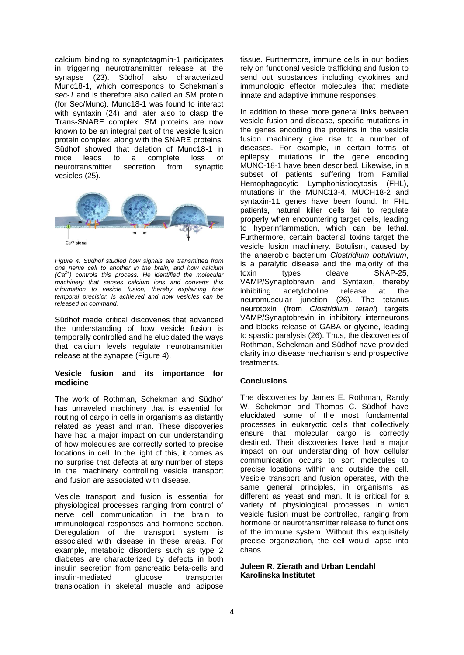calcium binding to synaptotagmin-1 participates in triggering neurotransmitter release at the synapse [\(23\)](#page-5-12). Südhof also characterized Munc18-1, which corresponds to Schekman´s *sec-1* and is therefore also called an SM protein (for Sec/Munc). Munc18-1 was found to interact with syntaxin [\(24\)](#page-5-13) and later also to clasp the Trans-SNARE complex. SM proteins are now known to be an integral part of the vesicle fusion protein complex, along with the SNARE proteins. Südhof showed that deletion of Munc18-1 in mice leads to a complete loss of neurotransmitter secretion from synaptic vesicles [\(25\)](#page-5-14).



*Figure 4: Südhof studied how signals are transmitted from one nerve cell to another in the brain, and how calcium (Ca2+) controls this process. He identified the molecular machinery that senses calcium ions and converts this information to vesicle fusion, thereby explaining how temporal precision is achieved and how vesicles can be released on command.*

Südhof made critical discoveries that advanced the understanding of how vesicle fusion is temporally controlled and he elucidated the ways that calcium levels regulate neurotransmitter release at the synapse (Figure 4).

### **Vesicle fusion and its importance for medicine**

The work of Rothman, Schekman and Südhof has unraveled machinery that is essential for routing of cargo in cells in organisms as distantly related as yeast and man. These discoveries have had a major impact on our understanding of how molecules are correctly sorted to precise locations in cell. In the light of this, it comes as no surprise that defects at any number of steps in the machinery controlling vesicle transport and fusion are associated with disease.

Vesicle transport and fusion is essential for physiological processes ranging from control of nerve cell communication in the brain to immunological responses and hormone section. Deregulation of the transport system is associated with disease in these areas. For example, metabolic disorders such as type 2 diabetes are characterized by defects in both insulin secretion from pancreatic beta-cells and insulin-mediated glucose transporter translocation in skeletal muscle and adipose

tissue. Furthermore, immune cells in our bodies rely on functional vesicle trafficking and fusion to send out substances including cytokines and immunologic effector molecules that mediate innate and adaptive immune responses.

In addition to these more general links between vesicle fusion and disease, specific mutations in the genes encoding the proteins in the vesicle fusion machinery give rise to a number of diseases. For example, in certain forms of epilepsy, mutations in the gene encoding MUNC-18-1 have been described. Likewise, in a subset of patients suffering from Familial Hemophagocytic Lymphohistiocytosis (FHL), mutations in the MUNC13-4, MUCH18-2 and syntaxin-11 genes have been found. In FHL patients, natural killer cells fail to regulate properly when encountering target cells, leading to hyperinflammation, which can be lethal. Furthermore, certain bacterial toxins target the vesicle fusion machinery. Botulism, caused by the anaerobic bacterium *Clostridium botulinum*, is a paralytic disease and the majority of the toxin types cleave SNAP-25, VAMP/Synaptobrevin and Syntaxin, thereby inhibiting acetylcholine release at the neuromuscular junction [\(26\)](#page-5-15). The tetanus neurotoxin (from *Clostridium tetani*) targets VAMP/Synaptobrevin in inhibitory interneurons and blocks release of GABA or glycine, leading to spastic paralysis [\(26\)](#page-5-15). Thus, the discoveries of Rothman, Schekman and Südhof have provided clarity into disease mechanisms and prospective treatments.

## **Conclusions**

The discoveries by James E. Rothman, Randy W. Schekman and Thomas C. Südhof have elucidated some of the most fundamental processes in eukaryotic cells that collectively ensure that molecular cargo is correctly destined. Their discoveries have had a major impact on our understanding of how cellular communication occurs to sort molecules to precise locations within and outside the cell. Vesicle transport and fusion operates, with the same general principles, in organisms as different as yeast and man. It is critical for a variety of physiological processes in which vesicle fusion must be controlled, ranging from hormone or neurotransmitter release to functions of the immune system. Without this exquisitely precise organization, the cell would lapse into chaos.

### **Juleen R. Zierath and Urban Lendahl Karolinska Institutet**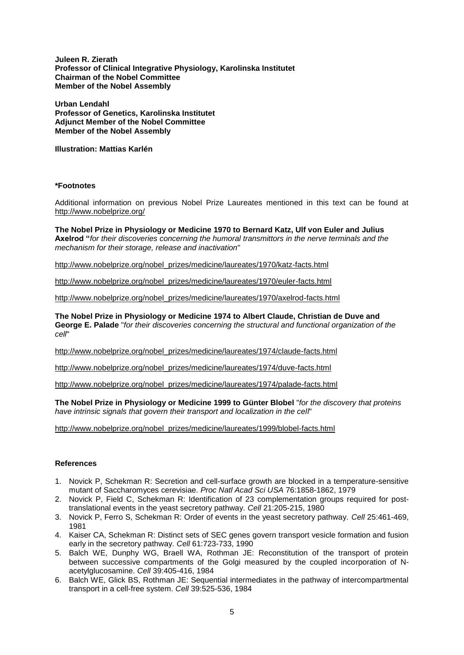**Juleen R. Zierath Professor of Clinical Integrative Physiology, Karolinska Institutet Chairman of the Nobel Committee Member of the Nobel Assembly**

**Urban Lendahl Professor of Genetics, Karolinska Institutet Adjunct Member of the Nobel Committee Member of the Nobel Assembly**

**Illustration: Mattias Karlén**

#### **\*Footnotes**

Additional information on previous Nobel Prize Laureates mentioned in this text can be found at <http://www.nobelprize.org/>

**The Nobel Prize in Physiology or Medicine 1970 to Bernard Katz, Ulf von Euler and Julius Axelrod "***for their discoveries concerning the humoral transmittors in the nerve terminals and the mechanism for their storage, release and inactivation*"

[http://www.nobelprize.org/nobel\\_prizes/medicine/laureates/1970/katz-facts.html](http://www.nobelprize.org/nobel_prizes/medicine/laureates/1970/katz-facts.html)

[http://www.nobelprize.org/nobel\\_prizes/medicine/laureates/1970/euler-facts.html](http://www.nobelprize.org/nobel_prizes/medicine/laureates/1970/euler-facts.html)

[http://www.nobelprize.org/nobel\\_prizes/medicine/laureates/1970/axelrod-facts.html](http://www.nobelprize.org/nobel_prizes/medicine/laureates/1970/axelrod-facts.html)

**The Nobel Prize in Physiology or Medicine 1974 to Albert Claude, Christian de Duve and George E. Palade** "*for their discoveries concerning the structural and functional organization of the cell*"

[http://www.nobelprize.org/nobel\\_prizes/medicine/laureates/1974/claude-facts.html](http://www.nobelprize.org/nobel_prizes/medicine/laureates/1974/claude-facts.html)

[http://www.nobelprize.org/nobel\\_prizes/medicine/laureates/1974/duve-facts.html](http://www.nobelprize.org/nobel_prizes/medicine/laureates/1974/duve-facts.html)

[http://www.nobelprize.org/nobel\\_prizes/medicine/laureates/1974/palade-facts.html](http://www.nobelprize.org/nobel_prizes/medicine/laureates/1974/palade-facts.html)

**The Nobel Prize in Physiology or Medicine 1999 to Günter Blobel** "*for the discovery that proteins have intrinsic signals that govern their transport and localization in the cell*"

[http://www.nobelprize.org/nobel\\_prizes/medicine/laureates/1999/blobel-facts.html](http://www.nobelprize.org/nobel_prizes/medicine/laureates/1999/blobel-facts.html)

## **References**

- <span id="page-4-0"></span>1. Novick P, Schekman R: Secretion and cell-surface growth are blocked in a temperature-sensitive mutant of Saccharomyces cerevisiae. *Proc Natl Acad Sci USA* 76:1858-1862, 1979
- <span id="page-4-1"></span>2. Novick P, Field C, Schekman R: Identification of 23 complementation groups required for posttranslational events in the yeast secretory pathway. *Cell* 21:205-215, 1980
- <span id="page-4-2"></span>3. Novick P, Ferro S, Schekman R: Order of events in the yeast secretory pathway. *Cell* 25:461-469, 1981
- <span id="page-4-3"></span>4. Kaiser CA, Schekman R: Distinct sets of SEC genes govern transport vesicle formation and fusion early in the secretory pathway. *Cell* 61:723-733, 1990
- <span id="page-4-4"></span>5. Balch WE, Dunphy WG, Braell WA, Rothman JE: Reconstitution of the transport of protein between successive compartments of the Golgi measured by the coupled incorporation of Nacetylglucosamine. *Cell* 39:405-416, 1984
- 6. Balch WE, Glick BS, Rothman JE: Sequential intermediates in the pathway of intercompartmental transport in a cell-free system. *Cell* 39:525-536, 1984